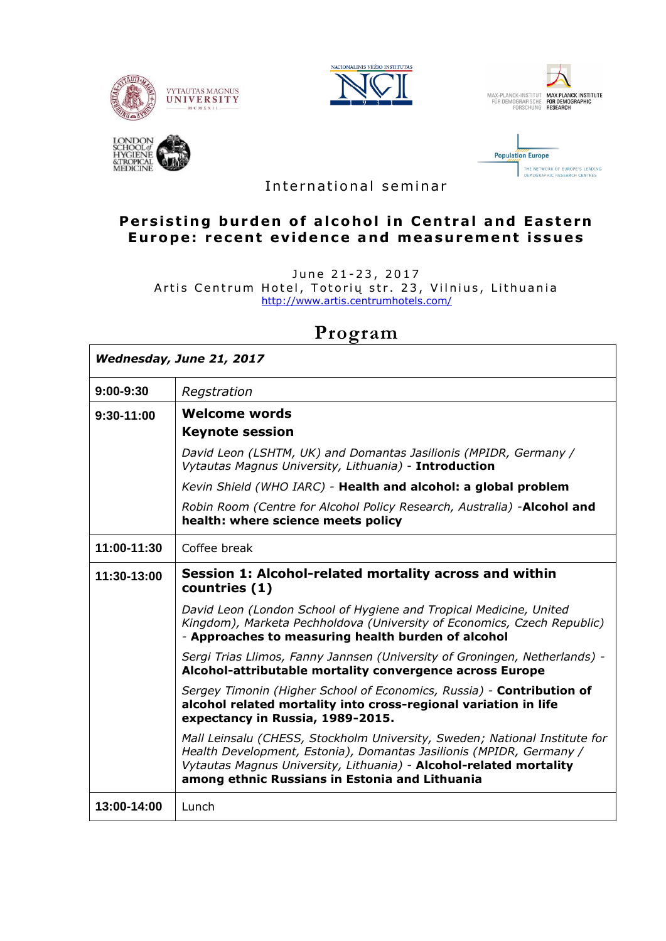









International seminar

## **Persisting burden of alcohol in Central and Eastern Europe: recent evidence and measurement issues**

June 21-23, 2017 Artis Centrum Hotel, Totorių str. 23, Vilnius, Lithuania <http://www.artis.centrumhotels.com/>

# *Wednesday, June 21, 2017* **9:00-9:30** *Regstration* **9:30-11:00 Welcome words Keynote session** *David Leon (LSHTM, UK) and Domantas Jasilionis (MPIDR, Germany / Vytautas Magnus University, Lithuania)* - **Introduction** *Kevin Shield (WHO IARC) -* **Health and alcohol: a global problem** *Robin Room (Centre for Alcohol Policy Research, Australia) -***Alcohol and health: where science meets policy 11:00-11:30** Coffee break **11:30-13:00 Session 1: Alcohol-related mortality across and within countries (1)** *David Leon (London School of Hygiene and Tropical Medicine, United Kingdom), Marketa Pechholdova (University of Economics, Czech Republic) -* **Approaches to measuring health burden of alcohol** *Sergi Trias Llimos, Fanny Jannsen (University of Groningen, Netherlands) -* **Alcohol-attributable mortality convergence across Europe** *Sergey Timonin (Higher School of Economics, Russia) -* **Contribution of alcohol related mortality into cross-regional variation in life expectancy in Russia, 1989-2015.** *Mall Leinsalu (CHESS, Stockholm University, Sweden; National Institute for Health Development, Estonia), Domantas Jasilionis (MPIDR, Germany / Vytautas Magnus University, Lithuania) -* **Alcohol-related mortality among ethnic Russians in Estonia and Lithuania 13:00-14:00** Lunch

# **Program**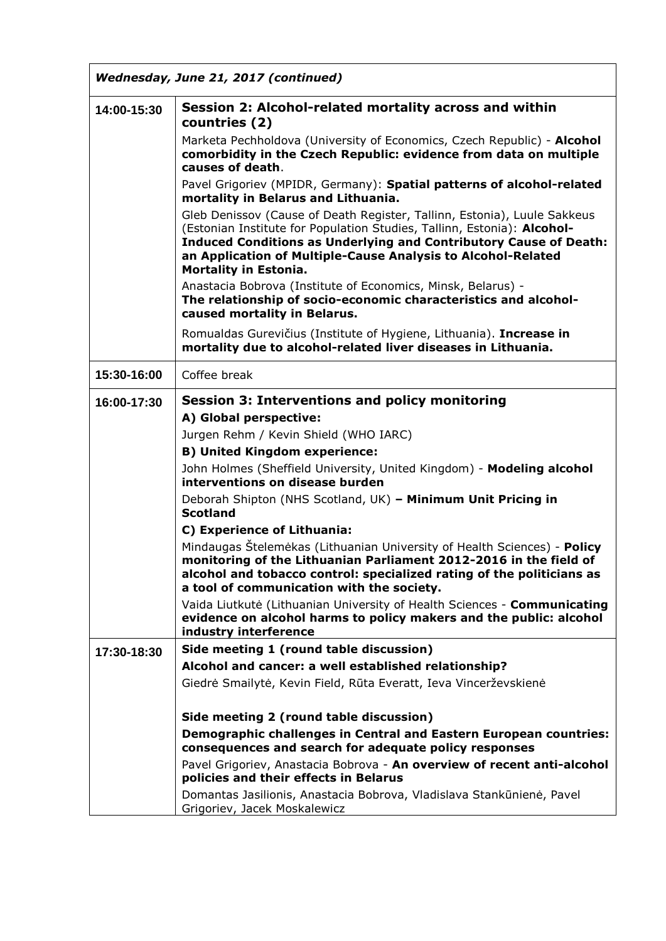| Wednesday, June 21, 2017 (continued) |                                                                                                                                                                                                                                                                                                                                 |  |
|--------------------------------------|---------------------------------------------------------------------------------------------------------------------------------------------------------------------------------------------------------------------------------------------------------------------------------------------------------------------------------|--|
| 14:00-15:30                          | Session 2: Alcohol-related mortality across and within<br>countries (2)                                                                                                                                                                                                                                                         |  |
|                                      | Marketa Pechholdova (University of Economics, Czech Republic) - Alcohol<br>comorbidity in the Czech Republic: evidence from data on multiple<br>causes of death.                                                                                                                                                                |  |
|                                      | Pavel Grigoriev (MPIDR, Germany): Spatial patterns of alcohol-related<br>mortality in Belarus and Lithuania.                                                                                                                                                                                                                    |  |
|                                      | Gleb Denissov (Cause of Death Register, Tallinn, Estonia), Luule Sakkeus<br>(Estonian Institute for Population Studies, Tallinn, Estonia): Alcohol-<br><b>Induced Conditions as Underlying and Contributory Cause of Death:</b><br>an Application of Multiple-Cause Analysis to Alcohol-Related<br><b>Mortality in Estonia.</b> |  |
|                                      | Anastacia Bobrova (Institute of Economics, Minsk, Belarus) -<br>The relationship of socio-economic characteristics and alcohol-<br>caused mortality in Belarus.                                                                                                                                                                 |  |
|                                      | Romualdas Gurevičius (Institute of Hygiene, Lithuania). Increase in<br>mortality due to alcohol-related liver diseases in Lithuania.                                                                                                                                                                                            |  |
| 15:30-16:00                          | Coffee break                                                                                                                                                                                                                                                                                                                    |  |
| 16:00-17:30                          | <b>Session 3: Interventions and policy monitoring</b>                                                                                                                                                                                                                                                                           |  |
|                                      | A) Global perspective:<br>Jurgen Rehm / Kevin Shield (WHO IARC)                                                                                                                                                                                                                                                                 |  |
|                                      | <b>B) United Kingdom experience:</b>                                                                                                                                                                                                                                                                                            |  |
|                                      | John Holmes (Sheffield University, United Kingdom) - Modeling alcohol<br>interventions on disease burden                                                                                                                                                                                                                        |  |
|                                      | Deborah Shipton (NHS Scotland, UK) - Minimum Unit Pricing in<br><b>Scotland</b>                                                                                                                                                                                                                                                 |  |
|                                      | C) Experience of Lithuania:                                                                                                                                                                                                                                                                                                     |  |
|                                      | Mindaugas Štelemėkas (Lithuanian University of Health Sciences) - Policy<br>monitoring of the Lithuanian Parliament 2012-2016 in the field of<br>alcohol and tobacco control: specialized rating of the politicians as<br>a tool of communication with the society.                                                             |  |
|                                      | Vaida Liutkutė (Lithuanian University of Health Sciences - Communicating<br>evidence on alcohol harms to policy makers and the public: alcohol<br>industry interference                                                                                                                                                         |  |
| 17:30-18:30                          | Side meeting 1 (round table discussion)                                                                                                                                                                                                                                                                                         |  |
|                                      | Alcohol and cancer: a well established relationship?                                                                                                                                                                                                                                                                            |  |
|                                      | Giedrė Smailytė, Kevin Field, Rūta Everatt, Ieva Vincerževskienė                                                                                                                                                                                                                                                                |  |
|                                      | Side meeting 2 (round table discussion)                                                                                                                                                                                                                                                                                         |  |
|                                      | Demographic challenges in Central and Eastern European countries:<br>consequences and search for adequate policy responses                                                                                                                                                                                                      |  |
|                                      | Pavel Grigoriev, Anastacia Bobrova - An overview of recent anti-alcohol<br>policies and their effects in Belarus                                                                                                                                                                                                                |  |
|                                      | Domantas Jasilionis, Anastacia Bobrova, Vladislava Stankūnienė, Pavel<br>Grigoriev, Jacek Moskalewicz                                                                                                                                                                                                                           |  |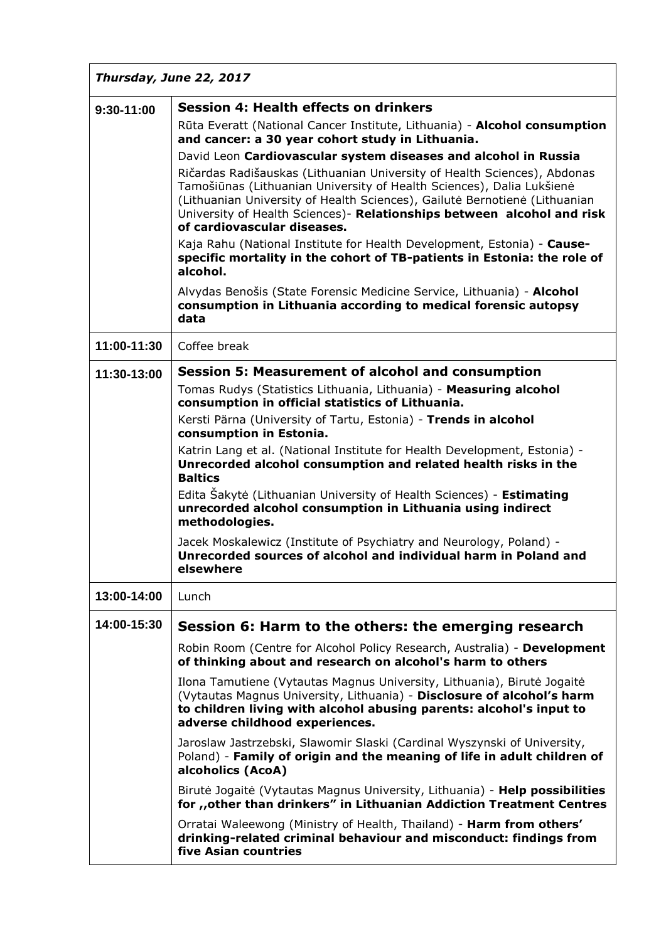| Thursday, June 22, 2017 |                                                                                                                                                                                                                                                                                                                                                                                                                                                                                                                                                                                                                                                                                                                                                                                                                                                                                                            |  |
|-------------------------|------------------------------------------------------------------------------------------------------------------------------------------------------------------------------------------------------------------------------------------------------------------------------------------------------------------------------------------------------------------------------------------------------------------------------------------------------------------------------------------------------------------------------------------------------------------------------------------------------------------------------------------------------------------------------------------------------------------------------------------------------------------------------------------------------------------------------------------------------------------------------------------------------------|--|
| 9:30-11:00              | <b>Session 4: Health effects on drinkers</b><br>Rūta Everatt (National Cancer Institute, Lithuania) - Alcohol consumption<br>and cancer: a 30 year cohort study in Lithuania.<br>David Leon Cardiovascular system diseases and alcohol in Russia<br>Ričardas Radišauskas (Lithuanian University of Health Sciences), Abdonas<br>Tamošiūnas (Lithuanian University of Health Sciences), Dalia Lukšienė<br>(Lithuanian University of Health Sciences), Gailutė Bernotienė (Lithuanian<br>University of Health Sciences)- Relationships between alcohol and risk<br>of cardiovascular diseases.<br>Kaja Rahu (National Institute for Health Development, Estonia) - Cause-<br>specific mortality in the cohort of TB-patients in Estonia: the role of<br>alcohol.<br>Alvydas Benošis (State Forensic Medicine Service, Lithuania) - Alcohol<br>consumption in Lithuania according to medical forensic autopsy |  |
|                         | data                                                                                                                                                                                                                                                                                                                                                                                                                                                                                                                                                                                                                                                                                                                                                                                                                                                                                                       |  |
| 11:00-11:30             | Coffee break                                                                                                                                                                                                                                                                                                                                                                                                                                                                                                                                                                                                                                                                                                                                                                                                                                                                                               |  |
| 11:30-13:00             | <b>Session 5: Measurement of alcohol and consumption</b><br>Tomas Rudys (Statistics Lithuania, Lithuania) - Measuring alcohol<br>consumption in official statistics of Lithuania.<br>Kersti Pärna (University of Tartu, Estonia) - Trends in alcohol<br>consumption in Estonia.<br>Katrin Lang et al. (National Institute for Health Development, Estonia) -<br>Unrecorded alcohol consumption and related health risks in the<br><b>Baltics</b><br>Edita Sakyte (Lithuanian University of Health Sciences) - Estimating<br>unrecorded alcohol consumption in Lithuania using indirect<br>methodologies.<br>Jacek Moskalewicz (Institute of Psychiatry and Neurology, Poland) -<br>Unrecorded sources of alcohol and individual harm in Poland and<br>elsewhere                                                                                                                                            |  |
| 13:00-14:00             | Lunch                                                                                                                                                                                                                                                                                                                                                                                                                                                                                                                                                                                                                                                                                                                                                                                                                                                                                                      |  |
| 14:00-15:30             | Session 6: Harm to the others: the emerging research<br>Robin Room (Centre for Alcohol Policy Research, Australia) - Development<br>of thinking about and research on alcohol's harm to others<br>Ilona Tamutiene (Vytautas Magnus University, Lithuania), Birutė Jogaitė<br>(Vytautas Magnus University, Lithuania) - Disclosure of alcohol's harm<br>to children living with alcohol abusing parents: alcohol's input to<br>adverse childhood experiences.<br>Jaroslaw Jastrzebski, Slawomir Slaski (Cardinal Wyszynski of University,<br>Poland) - Family of origin and the meaning of life in adult children of<br>alcoholics (AcoA)<br>Birutė Jogaitė (Vytautas Magnus University, Lithuania) - <b>Help possibilities</b><br>for "other than drinkers" in Lithuanian Addiction Treatment Centres<br>Orratai Waleewong (Ministry of Health, Thailand) - Harm from others'                              |  |
|                         | drinking-related criminal behaviour and misconduct: findings from<br>five Asian countries                                                                                                                                                                                                                                                                                                                                                                                                                                                                                                                                                                                                                                                                                                                                                                                                                  |  |